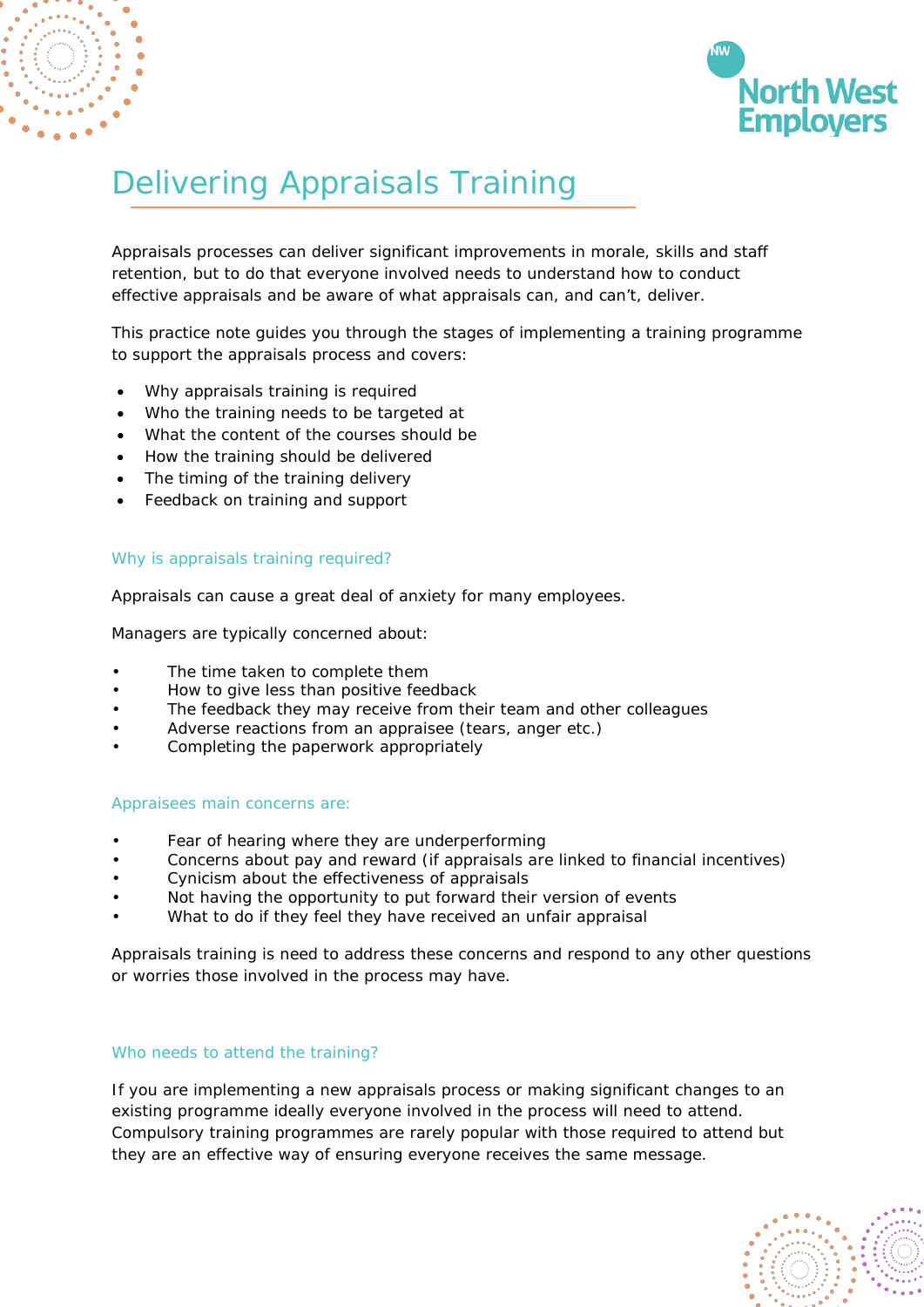



# Delivering Appraisals Training

Appraisals processes can deliver significant improvements in morale, skills and staff retention, but to do that everyone involved needs to understand how to conduct effective appraisals and be aware of what appraisals can, and can't, deliver.

This practice note guides you through the stages of implementing a training programme to support the appraisals process and covers:

- Why appraisals training is required
- Who the training needs to be targeted at
- What the content of the courses should be
- How the training should be delivered
- The timing of the training delivery
- Feedback on training and support

#### Why is appraisals training required?

Appraisals can cause a great deal of anxiety for many employees.

Managers are typically concerned about:

- The time taken to complete them
- How to give less than positive feedback
- The feedback they may receive from their team and other colleagues
- Adverse reactions from an appraisee (tears, anger etc.)
- Completing the paperwork appropriately

#### Appraisees main concerns are:

- Fear of hearing where they are underperforming
- Concerns about pay and reward (if appraisals are linked to financial incentives)
- Cynicism about the effectiveness of appraisals
- Not having the opportunity to put forward their version of events
- What to do if they feel they have received an unfair appraisal

Appraisals training is need to address these concerns and respond to any other questions or worries those involved in the process may have.

#### Who needs to attend the training?

If you are implementing a new appraisals process or making significant changes to an existing programme ideally everyone involved in the process will need to attend. Compulsory training programmes are rarely popular with those required to attend but they are an effective way of ensuring everyone receives the same message.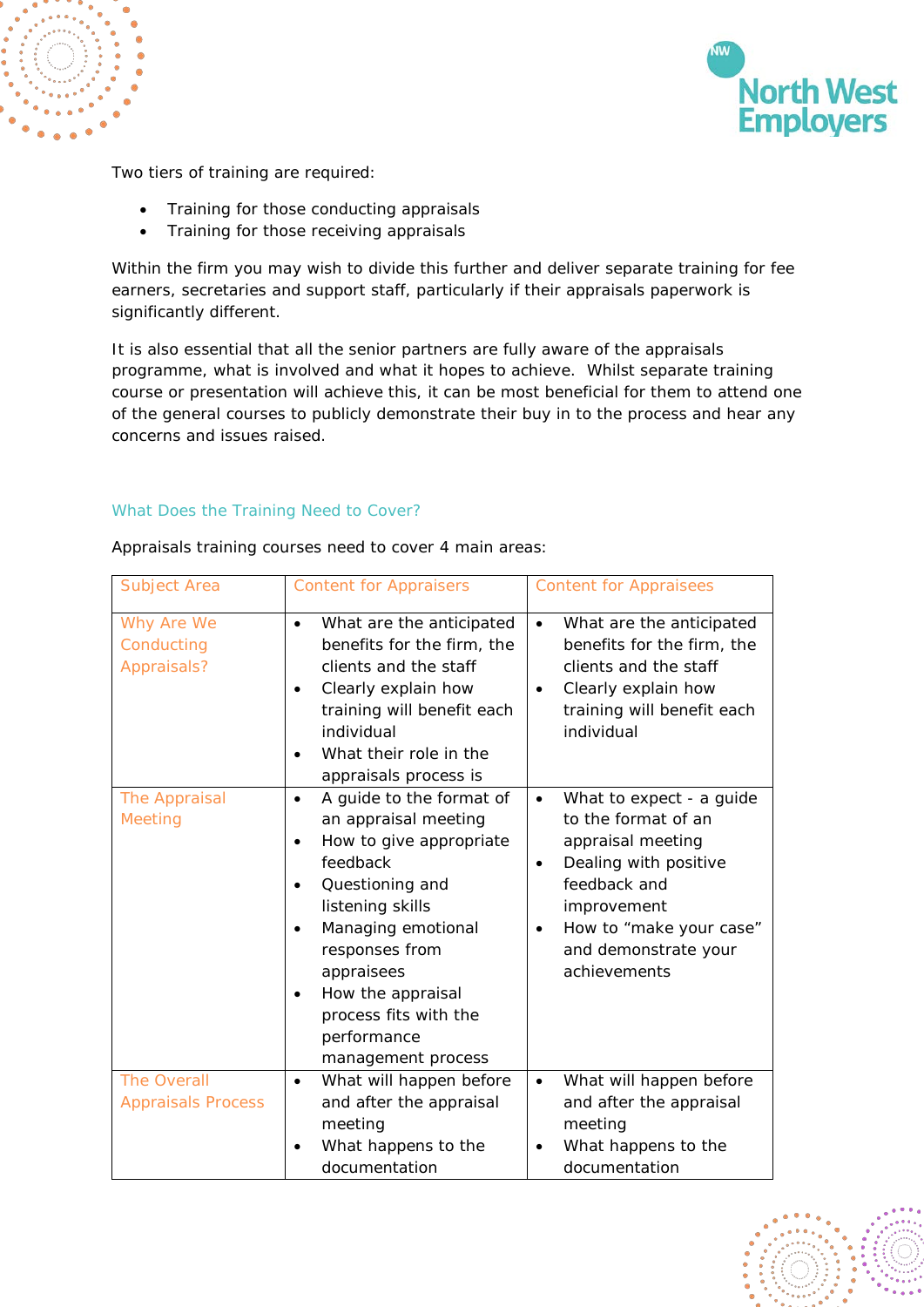



Two tiers of training are required:

- Training for those conducting appraisals
- Training for those receiving appraisals

Within the firm you may wish to divide this further and deliver separate training for fee earners, secretaries and support staff, particularly if their appraisals paperwork is significantly different.

It is also essential that all the senior partners are fully aware of the appraisals programme, what is involved and what it hopes to achieve. Whilst separate training course or presentation will achieve this, it can be most beneficial for them to attend one of the general courses to publicly demonstrate their buy in to the process and hear any concerns and issues raised.

## What Does the Training Need to Cover?

| Subject Area                                    | <b>Content for Appraisers</b>                                                                                                                                                                                                                                                                                  | <b>Content for Appraisees</b>                                                                                                                                                                                                  |
|-------------------------------------------------|----------------------------------------------------------------------------------------------------------------------------------------------------------------------------------------------------------------------------------------------------------------------------------------------------------------|--------------------------------------------------------------------------------------------------------------------------------------------------------------------------------------------------------------------------------|
| Why Are We<br>Conducting<br>Appraisals?         | What are the anticipated<br>$\bullet$<br>benefits for the firm, the<br>clients and the staff<br>Clearly explain how<br>$\bullet$<br>training will benefit each<br>individual<br>What their role in the<br>appraisals process is                                                                                | What are the anticipated<br>$\bullet$<br>benefits for the firm, the<br>clients and the staff<br>Clearly explain how<br>$\bullet$<br>training will benefit each<br>individual                                                   |
| The Appraisal<br><b>Meeting</b>                 | A guide to the format of<br>$\bullet$<br>an appraisal meeting<br>How to give appropriate<br>$\bullet$<br>feedback<br>Questioning and<br>$\bullet$<br>listening skills<br>Managing emotional<br>responses from<br>appraisees<br>How the appraisal<br>process fits with the<br>performance<br>management process | What to expect - a guide<br>$\bullet$<br>to the format of an<br>appraisal meeting<br>Dealing with positive<br>$\bullet$<br>feedback and<br>improvement<br>How to "make your case"<br>٠<br>and demonstrate your<br>achievements |
| <b>The Overall</b><br><b>Appraisals Process</b> | What will happen before<br>$\bullet$<br>and after the appraisal<br>meeting<br>What happens to the<br>documentation                                                                                                                                                                                             | What will happen before<br>$\bullet$<br>and after the appraisal<br>meeting<br>What happens to the<br>documentation                                                                                                             |

Appraisals training courses need to cover 4 main areas: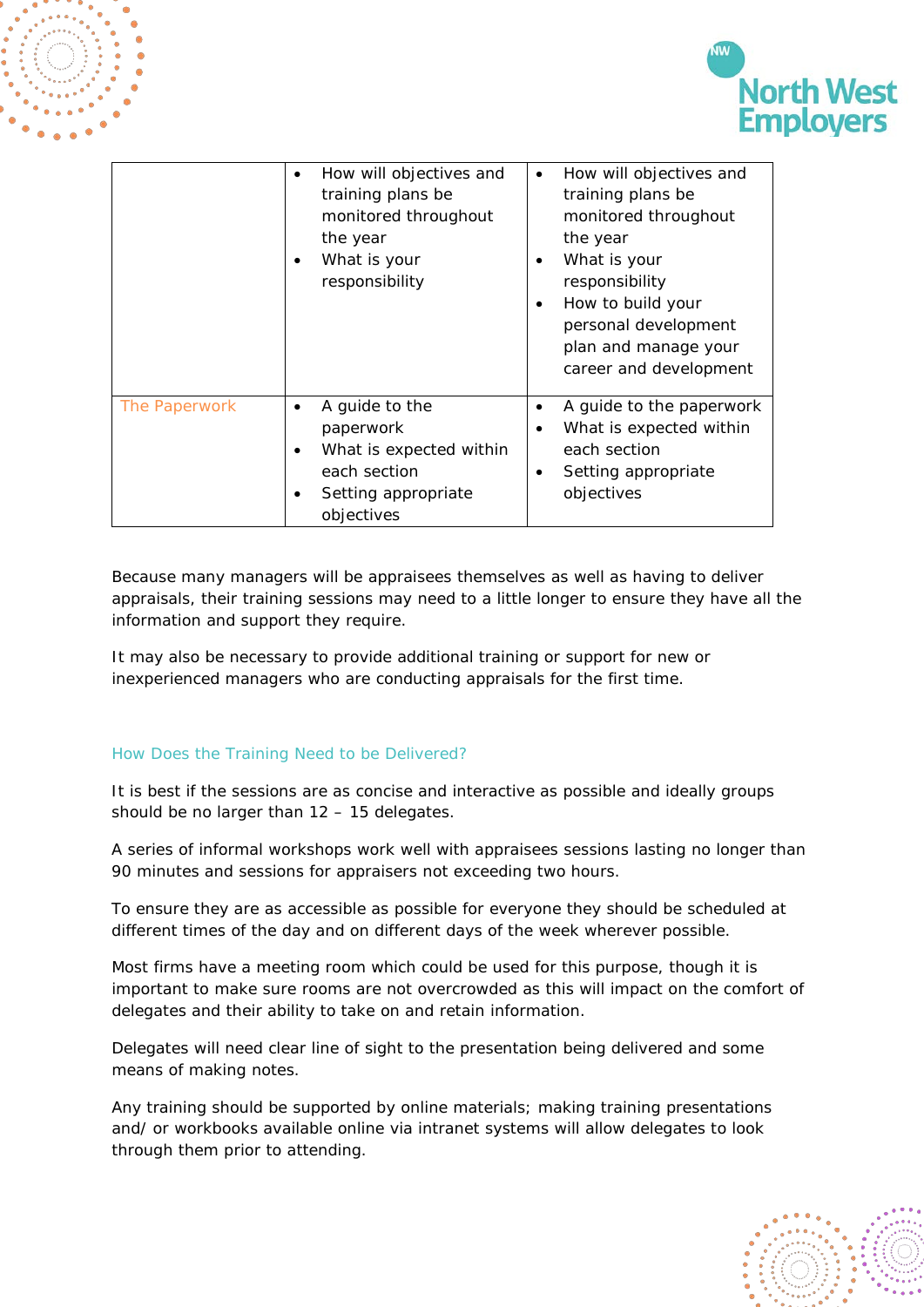

**North West** 

Because many managers will be appraisees themselves as well as having to deliver appraisals, their training sessions may need to a little longer to ensure they have all the information and support they require.

It may also be necessary to provide additional training or support for new or inexperienced managers who are conducting appraisals for the first time.

# How Does the Training Need to be Delivered?

It is best if the sessions are as concise and interactive as possible and ideally groups should be no larger than 12 – 15 delegates.

A series of informal workshops work well with appraisees sessions lasting no longer than 90 minutes and sessions for appraisers not exceeding two hours.

To ensure they are as accessible as possible for everyone they should be scheduled at different times of the day and on different days of the week wherever possible.

Most firms have a meeting room which could be used for this purpose, though it is important to make sure rooms are not overcrowded as this will impact on the comfort of delegates and their ability to take on and retain information.

Delegates will need clear line of sight to the presentation being delivered and some means of making notes.

Any training should be supported by online materials; making training presentations and/ or workbooks available online via intranet systems will allow delegates to look through them prior to attending.